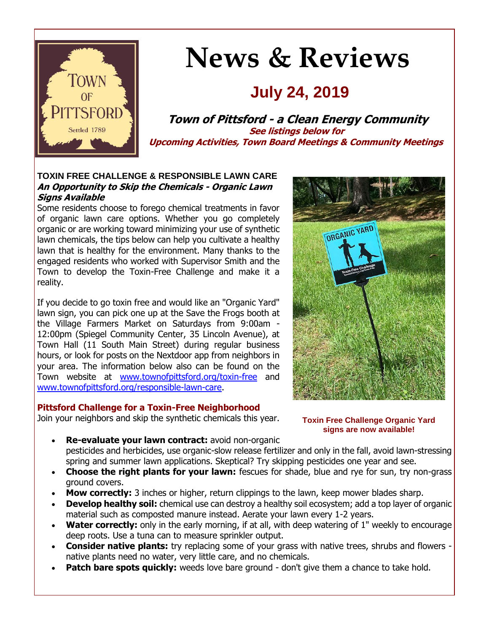

# **News & Reviews**

# **July 24, 2019**

**Town of Pittsford - a Clean Energy Community See listings below for Upcoming Activities, Town Board Meetings & Community Meetings**

#### **TOXIN FREE CHALLENGE & RESPONSIBLE LAWN CARE An Opportunity to Skip the Chemicals - Organic Lawn Signs Available**

Some residents choose to forego chemical treatments in favor of organic lawn care options. Whether you go completely organic or are working toward minimizing your use of synthetic lawn chemicals, the tips below can help you cultivate a healthy lawn that is healthy for the environment. Many thanks to the engaged residents who worked with Supervisor Smith and the Town to develop the Toxin-Free Challenge and make it a reality.

If you decide to go toxin free and would like an "Organic Yard" lawn sign, you can pick one up at the Save the Frogs booth at the Village Farmers Market on Saturdays from 9:00am - 12:00pm (Spiegel Community Center, 35 Lincoln Avenue), at Town Hall (11 South Main Street) during regular business hours, or look for posts on the Nextdoor app from neighbors in your area. The information below also can be found on the Town website at [www.townofpittsford.org/toxin-free](http://r20.rs6.net/tn.jsp?f=00123bHzXy63bmCkOiadQf51FJWDLTNgYb5W75OMj3Pjxoh_wkx6ZBLCIRIT3ytvzHkCrjgWbf_Sa5HyNm-77bJIaQJFxqLFT__YsrXjP_y4zUoRD0oEyiGOUuF6OCfVKWKS4Z5Tk6DHXAvSzrxUEty3vIotfoN3oMoTc5zDqJtGBOBxWyPL0KtxmXq_K--adrXGM8KRGbHgq3TqEK4uVLT8yJfa1d-FMXoVRA_cUPY6QSeRsPUN7Xprm5JS-g6DJmMfvDnmF1o90BfmGxCgrG8j5qHCKlKexgdAFpE8A3_jUnYS1yoH75fFQ==&c=4THPiWQ9_-R3QmUlXthOiuqHM7pbOHq-SoGM3JouTuQmNYIZlCXfkw==&ch=WuQVqDiIUZEhJfQl-7M2_hdBjBxPYdVWx8_B46rcxuflAUEThjXVEQ==) and [www.townofpittsford.org/responsible-lawn-care.](http://r20.rs6.net/tn.jsp?f=00123bHzXy63bmCkOiadQf51FJWDLTNgYb5W75OMj3Pjxoh_wkx6ZBLCIRIT3ytvzHkZs9rZ1YgaAvJqsmqMMdL2yXD2yH9X9SVfzS64AZdo8S-yHIhX9N-jHP4S1sXdiuZzPe627xRXtTmEtH1vYO18hRsCYhX0acYY6Prbxg7mMK-4xV56JDKMLiyhwQWJwpYql1TeX1wV7HPvaGHRwRHzUa4NSSQ5VXqq4ZX64a6Ridl7Sci4PGBQ17jT1yvWJCj4_AFL0y2GBQjfScOEA-EU8Fh7tmwPHFqC6FygQiPZ_8tJ8PMc30kkXMZ6GiDWz4-3m4vIYHIyGg=&c=4THPiWQ9_-R3QmUlXthOiuqHM7pbOHq-SoGM3JouTuQmNYIZlCXfkw==&ch=WuQVqDiIUZEhJfQl-7M2_hdBjBxPYdVWx8_B46rcxuflAUEThjXVEQ==)

#### **Pittsford Challenge for a Toxin-Free Neighborhood**

Join your neighbors and skip the synthetic chemicals this year.



**Toxin Free Challenge Organic Yard signs are now available!**

- **Re-evaluate your lawn contract:** avoid non-organic pesticides and herbicides, use organic-slow release fertilizer and only in the fall, avoid lawn-stressing spring and summer lawn applications. Skeptical? Try skipping pesticides one year and see.
- **Choose the right plants for your lawn:** fescues for shade, blue and rye for sun, try non-grass ground covers.
- **Mow correctly:** 3 inches or higher, return clippings to the lawn, keep mower blades sharp.
- **Develop healthy soil:** chemical use can destroy a healthy soil ecosystem; add a top layer of organic material such as composted manure instead. Aerate your lawn every 1-2 years.
- **Water correctly:** only in the early morning, if at all, with deep watering of 1" weekly to encourage deep roots. Use a tuna can to measure sprinkler output.
- **Consider native plants:** try replacing some of your grass with native trees, shrubs and flowers native plants need no water, very little care, and no chemicals.
- **Patch bare spots quickly:** weeds love bare ground don't give them a chance to take hold.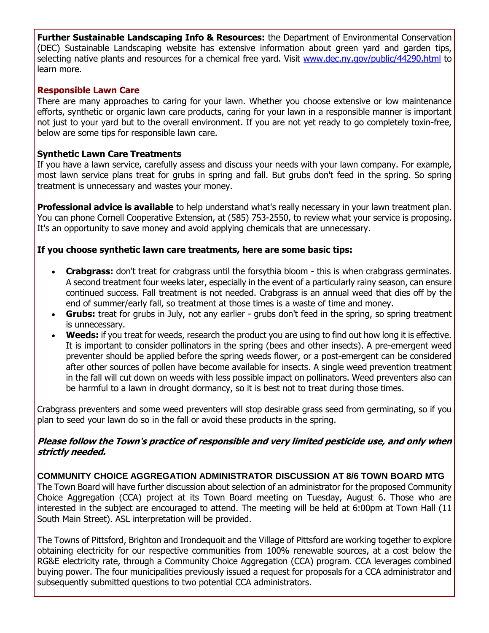**Further Sustainable Landscaping Info & Resources:** the Department of Environmental Conservation (DEC) Sustainable Landscaping website has extensive information about green yard and garden tips, selecting native plants and resources for a chemical free yard. Visit [www.dec.ny.gov/public/44290.html](http://www.dec.ny.gov/public/44290.html) to learn more.

## **Responsible Lawn Care**

There are many approaches to caring for your lawn. Whether you choose extensive or low maintenance efforts, synthetic or organic lawn care products, caring for your lawn in a responsible manner is important not iust to your vard but to the overall environment. If you are not yet ready to go completely toxin-free, below are some tips for responsible lawn care.

## **Synthetic Lawn Care Treatments**

If you have a lawn service, carefully assess and discuss your needs with your lawn company. For example, most lawn service plans treat for grubs in spring and fall. But grubs don't feed in the spring. So spring treatment is unnecessary and wastes your money.

**Professional advice is available** to help understand what's really necessary in your lawn treatment plan. You can phone Cornell Cooperative Extension, at (585) 753-2550, to review what your service is proposing. It's an opportunity to save money and avoid applying chemicals that are unnecessary.

# **If you choose synthetic lawn care treatments, here are some basic tips:**

- **Crabgrass:** don't treat for crabgrass until the forsythia bloom this is when crabgrass germinates. A second treatment four weeks later, especially in the event of a particularly rainy season, can ensure continued success. Fall treatment is not needed. Crabgrass is an annual weed that dies off by the end of summer/early fall, so treatment at those times is a waste of time and money.
- **Grubs:** treat for grubs in July, not any earlier grubs don't feed in the spring, so spring treatment is unnecessary.
- **Weeds:** if you treat for weeds, research the product you are using to find out how long it is effective. It is important to consider pollinators in the spring (bees and other insects). A pre-emergent weed preventer should be applied before the spring weeds flower, or a post-emergent can be considered after other sources of pollen have become available for insects. A single weed prevention treatment in the fall will cut down on weeds with less possible impact on pollinators. Weed preventers also can be harmful to a lawn in drought dormancy, so it is best not to treat during those times.

Crabgrass preventers and some weed preventers will stop desirable grass seed from germinating, so if you plan to seed your lawn do so in the fall or avoid these products in the spring.

#### **Please follow the Town's practice of responsible and very limited pesticide use, and only when strictly needed.**

**COMMUNITY CHOICE AGGREGATION ADMINISTRATOR DISCUSSION AT 8/6 TOWN BOARD MTG** The Town Board will have further discussion about selection of an administrator for the proposed Community Choice Aggregation (CCA) project at its Town Board meeting on Tuesday, August 6. Those who are interested in the subject are encouraged to attend. The meeting will be held at 6:00pm at Town Hall (11 South Main Street). ASL interpretation will be provided.

The Towns of Pittsford, Brighton and Irondequoit and the Village of Pittsford are working together to explore obtaining electricity for our respective communities from 100% renewable sources, at a cost below the RG&E electricity rate, through a Community Choice Aggregation (CCA) program. CCA leverages combined buying power. The four municipalities previously issued a request for proposals for a CCA administrator and subsequently submitted questions to two potential CCA administrators.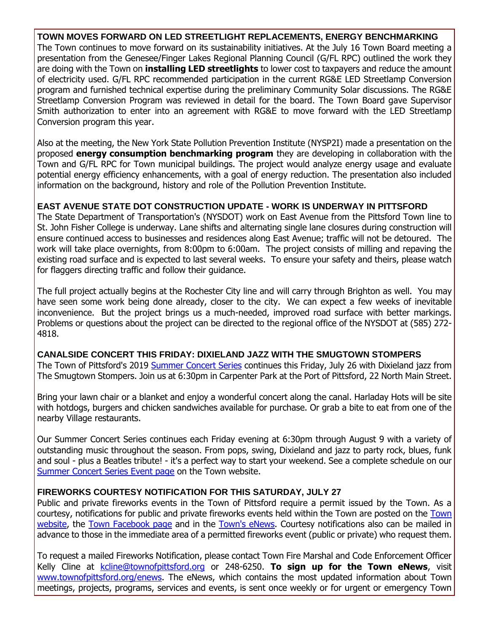**TOWN MOVES FORWARD ON LED STREETLIGHT REPLACEMENTS, ENERGY BENCHMARKING** The Town continues to move forward on its sustainability initiatives. At the July 16 Town Board meeting a presentation from the Genesee/Finger Lakes Regional Planning Council (G/FL RPC) outlined the work they are doing with the Town on **installing LED streetlights** to lower cost to taxpayers and reduce the amount of electricity used. G/FL RPC recommended participation in the current RG&E LED Streetlamp Conversion program and furnished technical expertise during the preliminary Community Solar discussions. The RG&E Streetlamp Conversion Program was reviewed in detail for the board. The Town Board gave Supervisor Smith authorization to enter into an agreement with RG&E to move forward with the LED Streetlamp Conversion program this year.

Also at the meeting, the New York State Pollution Prevention Institute (NYSP2I) made a presentation on the proposed **energy consumption benchmarking program** they are developing in collaboration with the Town and G/FL RPC for Town municipal buildings. The project would analyze energy usage and evaluate potential energy efficiency enhancements, with a goal of energy reduction. The presentation also included information on the background, history and role of the Pollution Prevention Institute.

#### **EAST AVENUE STATE DOT CONSTRUCTION UPDATE - WORK IS UNDERWAY IN PITTSFORD**

The State Department of Transportation's (NYSDOT) work on East Avenue from the Pittsford Town line to St. John Fisher College is underway. Lane shifts and alternating single lane closures during construction will ensure continued access to businesses and residences along East Avenue; traffic will not be detoured. The work will take place overnights, from 8:00pm to 6:00am. The project consists of milling and repaving the existing road surface and is expected to last several weeks. To ensure your safety and theirs, please watch for flaggers directing traffic and follow their guidance.

The full project actually begins at the Rochester City line and will carry through Brighton as well. You may have seen some work being done already, closer to the city. We can expect a few weeks of inevitable inconvenience. But the project brings us a much-needed, improved road surface with better markings. Problems or questions about the project can be directed to the regional office of the NYSDOT at (585) 272- 4818.

#### **CANALSIDE CONCERT THIS FRIDAY: DIXIELAND JAZZ WITH THE SMUGTOWN STOMPERS** The Town of Pittsford's 2019 [Summer Concert Series](http://r20.rs6.net/tn.jsp?f=00123bHzXy63bmCkOiadQf51FJWDLTNgYb5W75OMj3Pjxoh_wkx6ZBLCMq3fecyfDzYaqpUPM_f7YD_v0Yv1ZwlMhMZqxbNieBX266zARSde1lPeKmvkkCNZVsLnXXisbn9HUec8fCi_ne79vwnT_0gN0LQzCWYqHOZAYe2YwITVNc5GYMbL2oCbMFQ4VoS7uqvWfxv3Hw0vyaxCLvG3VIZGggEtlPIBam9ZVUY-oQhcNiwc06LbGap1lOy1UzfSuYwo-iekAXoka5V0_5Js1mrRtIK53bKklOB7UY28F-m_OQh7uOXsOZ7OBEjebgb24mS&c=4THPiWQ9_-R3QmUlXthOiuqHM7pbOHq-SoGM3JouTuQmNYIZlCXfkw==&ch=WuQVqDiIUZEhJfQl-7M2_hdBjBxPYdVWx8_B46rcxuflAUEThjXVEQ==) continues this Friday, July 26 with Dixieland jazz from

The Smugtown Stompers. Join us at 6:30pm in Carpenter Park at the Port of Pittsford, 22 North Main Street.

Bring your lawn chair or a blanket and enjoy a wonderful concert along the canal. Harladay Hots will be site with hotdogs, burgers and chicken sandwiches available for purchase. Or grab a bite to eat from one of the nearby Village restaurants.

Our Summer Concert Series continues each Friday evening at 6:30pm through August 9 with a variety of outstanding music throughout the season. From pops, swing, Dixieland and jazz to party rock, blues, funk and soul - plus a Beatles tribute! - it's a perfect way to start your weekend. See a complete schedule on our [Summer Concert Series Event page](http://r20.rs6.net/tn.jsp?f=00123bHzXy63bmCkOiadQf51FJWDLTNgYb5W75OMj3Pjxoh_wkx6ZBLCMq3fecyfDzYaqpUPM_f7YD_v0Yv1ZwlMhMZqxbNieBX266zARSde1lPeKmvkkCNZVsLnXXisbn9HUec8fCi_ne79vwnT_0gN0LQzCWYqHOZAYe2YwITVNc5GYMbL2oCbMFQ4VoS7uqvWfxv3Hw0vyaxCLvG3VIZGggEtlPIBam9ZVUY-oQhcNiwc06LbGap1lOy1UzfSuYwo-iekAXoka5V0_5Js1mrRtIK53bKklOB7UY28F-m_OQh7uOXsOZ7OBEjebgb24mS&c=4THPiWQ9_-R3QmUlXthOiuqHM7pbOHq-SoGM3JouTuQmNYIZlCXfkw==&ch=WuQVqDiIUZEhJfQl-7M2_hdBjBxPYdVWx8_B46rcxuflAUEThjXVEQ==) on the Town website.

#### **FIREWORKS COURTESY NOTIFICATION FOR THIS SATURDAY, JULY 27**

Public and private fireworks events in the Town of Pittsford require a permit issued by the Town. As a courtesy, notifications for public and private fireworks events held within the Town are posted on the [Town](http://r20.rs6.net/tn.jsp?f=00123bHzXy63bmCkOiadQf51FJWDLTNgYb5W75OMj3Pjxoh_wkx6ZBLCGxDGiEgeuXmlmuDwFPkvdNA6NTktwWAl0ABiTDlIqYFH3IOuOFEEC6oL5D0UxreRnU_YOJ1U5EmV-B_OMkw_z7YBXnoiwpO4T8dClX5_l8FGQ2Yxg4ojkXQJDvMcAL_iK4iT0OI9ZrQ7HAK6fdOP0TvGhCxcR53gOL8nMWgCgZWVvGIDjsONxpgMPH26tptg10yB6XVsY40BR5UhcXDvNwPkZjOZYM4imEnAvMdvUBv9r2gIR259mNziU1-zSx24isj1J5isnE8WngeE_M-OJY=&c=4THPiWQ9_-R3QmUlXthOiuqHM7pbOHq-SoGM3JouTuQmNYIZlCXfkw==&ch=WuQVqDiIUZEhJfQl-7M2_hdBjBxPYdVWx8_B46rcxuflAUEThjXVEQ==)  [website,](http://r20.rs6.net/tn.jsp?f=00123bHzXy63bmCkOiadQf51FJWDLTNgYb5W75OMj3Pjxoh_wkx6ZBLCGxDGiEgeuXmlmuDwFPkvdNA6NTktwWAl0ABiTDlIqYFH3IOuOFEEC6oL5D0UxreRnU_YOJ1U5EmV-B_OMkw_z7YBXnoiwpO4T8dClX5_l8FGQ2Yxg4ojkXQJDvMcAL_iK4iT0OI9ZrQ7HAK6fdOP0TvGhCxcR53gOL8nMWgCgZWVvGIDjsONxpgMPH26tptg10yB6XVsY40BR5UhcXDvNwPkZjOZYM4imEnAvMdvUBv9r2gIR259mNziU1-zSx24isj1J5isnE8WngeE_M-OJY=&c=4THPiWQ9_-R3QmUlXthOiuqHM7pbOHq-SoGM3JouTuQmNYIZlCXfkw==&ch=WuQVqDiIUZEhJfQl-7M2_hdBjBxPYdVWx8_B46rcxuflAUEThjXVEQ==) the [Town Facebook page](http://r20.rs6.net/tn.jsp?f=00123bHzXy63bmCkOiadQf51FJWDLTNgYb5W75OMj3Pjxoh_wkx6ZBLCK4bXTz5dbGuZ8UxKrUDV-0TWGrVhJRklXhM1naGyAORuRQc2W3NfDJPzcn0KK__1oKss7jmd4rwzIvZoWfvzh8Bdi9kKFeLd9WPCcO8s80cPR8dyVp4GjS0StcrwpEgh0tYbHstvO1innW48qy_nVVZEDg7h296oBAb6DJONltL&c=4THPiWQ9_-R3QmUlXthOiuqHM7pbOHq-SoGM3JouTuQmNYIZlCXfkw==&ch=WuQVqDiIUZEhJfQl-7M2_hdBjBxPYdVWx8_B46rcxuflAUEThjXVEQ==) and in the [Town's eNews.](http://r20.rs6.net/tn.jsp?f=00123bHzXy63bmCkOiadQf51FJWDLTNgYb5W75OMj3Pjxoh_wkx6ZBLCK4bXTz5dbGuOSdSeEA0BUnNxQGlEa5nOypFcP7g1VFuSTqol70vbFu0i9S4ZFxJmE5nV3xc58Tq9gGIQ8sm2vTqbO0jgD0JSzsaqfN0AieJ5lBoqP7MQYCP8GKnzRLr4HMs4aSmkou7VmXLoRVowFz7i9LlSnq0P89MoXby6ZfAJ8xs_cyKJ3vKyxFLxyVaeV-Ly4Yl-HbDABiVicyvdzStevdmMVACdEw4A74Zh8qCyWSiZPmifRNCBQ6SVctBXA==&c=4THPiWQ9_-R3QmUlXthOiuqHM7pbOHq-SoGM3JouTuQmNYIZlCXfkw==&ch=WuQVqDiIUZEhJfQl-7M2_hdBjBxPYdVWx8_B46rcxuflAUEThjXVEQ==) Courtesy notifications also can be mailed in advance to those in the immediate area of a permitted fireworks event (public or private) who request them.

To request a mailed Fireworks Notification, please contact Town Fire Marshal and Code Enforcement Officer Kelly Cline at [kcline@townofpittsford.org](mailto:kcline@townofpittsford.or?subject=Town%20Fireworks%20Courtesy%20Notification) or 248-6250. **To sign up for the Town eNews**, visit [www.townofpittsford.org/enews.](http://r20.rs6.net/tn.jsp?f=00123bHzXy63bmCkOiadQf51FJWDLTNgYb5W75OMj3Pjxoh_wkx6ZBLCK4bXTz5dbGuOSdSeEA0BUnNxQGlEa5nOypFcP7g1VFuSTqol70vbFu0i9S4ZFxJmE5nV3xc58Tq9gGIQ8sm2vTqbO0jgD0JSzsaqfN0AieJ5lBoqP7MQYCP8GKnzRLr4HMs4aSmkou7VmXLoRVowFz7i9LlSnq0P89MoXby6ZfAJ8xs_cyKJ3vKyxFLxyVaeV-Ly4Yl-HbDABiVicyvdzStevdmMVACdEw4A74Zh8qCyWSiZPmifRNCBQ6SVctBXA==&c=4THPiWQ9_-R3QmUlXthOiuqHM7pbOHq-SoGM3JouTuQmNYIZlCXfkw==&ch=WuQVqDiIUZEhJfQl-7M2_hdBjBxPYdVWx8_B46rcxuflAUEThjXVEQ==) The eNews, which contains the most updated information about Town meetings, projects, programs, services and events, is sent once weekly or for urgent or emergency Town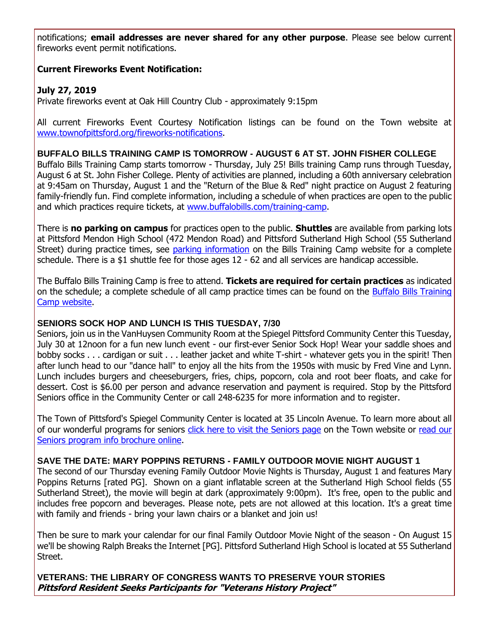notifications; **email addresses are never shared for any other purpose**. Please see below current fireworks event permit notifications.

#### **Current Fireworks Event Notification:**

# **July 27, 2019**

Private fireworks event at Oak Hill Country Club - approximately 9:15pm

All current Fireworks Event Courtesy Notification listings can be found on the Town website at [www.townofpittsford.org/fireworks-notifications.](http://r20.rs6.net/tn.jsp?f=00123bHzXy63bmCkOiadQf51FJWDLTNgYb5W75OMj3Pjxoh_wkx6ZBLCGxDGiEgeuXmlmuDwFPkvdNA6NTktwWAl0ABiTDlIqYFH3IOuOFEEC6oL5D0UxreRnU_YOJ1U5EmV-B_OMkw_z7YBXnoiwpO4T8dClX5_l8FGQ2Yxg4ojkXQJDvMcAL_iK4iT0OI9ZrQ7HAK6fdOP0TvGhCxcR53gOL8nMWgCgZWVvGIDjsONxpgMPH26tptg10yB6XVsY40BR5UhcXDvNwPkZjOZYM4imEnAvMdvUBv9r2gIR259mNziU1-zSx24isj1J5isnE8WngeE_M-OJY=&c=4THPiWQ9_-R3QmUlXthOiuqHM7pbOHq-SoGM3JouTuQmNYIZlCXfkw==&ch=WuQVqDiIUZEhJfQl-7M2_hdBjBxPYdVWx8_B46rcxuflAUEThjXVEQ==)

#### **BUFFALO BILLS TRAINING CAMP IS TOMORROW - AUGUST 6 AT ST. JOHN FISHER COLLEGE**

Buffalo Bills Training Camp starts tomorrow - Thursday, July 25! Bills training Camp runs through Tuesday, August 6 at St. John Fisher College. Plenty of activities are planned, including a 60th anniversary celebration at 9:45am on Thursday, August 1 and the "Return of the Blue & Red" night practice on August 2 featuring family-friendly fun. Find complete information, including a schedule of when practices are open to the public and which practices require tickets, at [www.buffalobills.com/training-camp.](http://r20.rs6.net/tn.jsp?f=00123bHzXy63bmCkOiadQf51FJWDLTNgYb5W75OMj3Pjxoh_wkx6ZBLCKdCEI23i7qwx2tOOilLIK7h4jEB2W1l-3PyV_Kz3XkKu_VET0AGDYD67isF28LEMBr4sqLQfSohr4pRAMeTFlYxmLlgnYbY_rqd6q_XtNbH0Plv9KAivRPS2ops4L-7nhzHg0wH1Z103Re3suqBf_APDmpEdh6DbbpB0z-IVcwmlp-gRDvgkKE6XUwkXfvL7pQ-b6WAhcW4ssSCu06pbcvNRFUdGxFTFprAz2yY8T9CLaD7K63gWObjtcrmpVIdkw==&c=4THPiWQ9_-R3QmUlXthOiuqHM7pbOHq-SoGM3JouTuQmNYIZlCXfkw==&ch=WuQVqDiIUZEhJfQl-7M2_hdBjBxPYdVWx8_B46rcxuflAUEThjXVEQ==)

There is **no parking on campus** for practices open to the public. **Shuttles** are available from parking lots at Pittsford Mendon High School (472 Mendon Road) and Pittsford Sutherland High School (55 Sutherland Street) during practice times, see [parking information](http://r20.rs6.net/tn.jsp?f=00123bHzXy63bmCkOiadQf51FJWDLTNgYb5W75OMj3Pjxoh_wkx6ZBLCIRIT3ytvzHk218mFYBmFvwPH8PKWVV81e_sSIYYsx9QdtvWvRBqdgz4DjfYs9hlDOrZkFqrH5omATKBYCRMn--pMPLolkbXhZgjDRdMYSzaSvOvATGf-xgKQAJgjl-MYpotwvHrNjvxTEZezUfksOlz7rbJSsHEQtT7G0vtm_IJmov5VWLX6q46e25EzWsxJcyFFWmfU7WClno7vvpkp7UVmjbjxmPzYjtGXAbK5Qshpmn0JGZEDnGGt1RGggyUlKnVtVMzIQqQjqs3JLqWizM=&c=4THPiWQ9_-R3QmUlXthOiuqHM7pbOHq-SoGM3JouTuQmNYIZlCXfkw==&ch=WuQVqDiIUZEhJfQl-7M2_hdBjBxPYdVWx8_B46rcxuflAUEThjXVEQ==) on the Bills Training Camp website for a complete schedule. There is a \$1 shuttle fee for those ages 12 - 62 and all services are handicap accessible.

The Buffalo Bills Training Camp is free to attend. **Tickets are required for certain practices** as indicated on the schedule; a complete schedule of all camp practice times can be found on the [Buffalo Bills Training](http://r20.rs6.net/tn.jsp?f=00123bHzXy63bmCkOiadQf51FJWDLTNgYb5W75OMj3Pjxoh_wkx6ZBLCIRIT3ytvzHktdji4mq6PM85N20jGcW6dnKyTnw_OnMCtzH4mXfc0MIU769yb9N2NK0mToN_JDJp-BT3osTwdmLFKWcg4oVY7Y5YdLOEQMJDdM7J-TuafiZORMoMFvzSHsSSR_0shpBUOJLzsygo5xoMrCWKP0MfH40bliaUclAfLCa5HzLS4Z91niF536UrfOrnoddhS3sk9doZjKAoLAY8FMHy5NifkUdUsLr5Xqe2S5ggoMJG682XMTq6SAYOi_NG91Qwyq5IX3DFyGIZTKQ=&c=4THPiWQ9_-R3QmUlXthOiuqHM7pbOHq-SoGM3JouTuQmNYIZlCXfkw==&ch=WuQVqDiIUZEhJfQl-7M2_hdBjBxPYdVWx8_B46rcxuflAUEThjXVEQ==)  [Camp website.](http://r20.rs6.net/tn.jsp?f=00123bHzXy63bmCkOiadQf51FJWDLTNgYb5W75OMj3Pjxoh_wkx6ZBLCIRIT3ytvzHktdji4mq6PM85N20jGcW6dnKyTnw_OnMCtzH4mXfc0MIU769yb9N2NK0mToN_JDJp-BT3osTwdmLFKWcg4oVY7Y5YdLOEQMJDdM7J-TuafiZORMoMFvzSHsSSR_0shpBUOJLzsygo5xoMrCWKP0MfH40bliaUclAfLCa5HzLS4Z91niF536UrfOrnoddhS3sk9doZjKAoLAY8FMHy5NifkUdUsLr5Xqe2S5ggoMJG682XMTq6SAYOi_NG91Qwyq5IX3DFyGIZTKQ=&c=4THPiWQ9_-R3QmUlXthOiuqHM7pbOHq-SoGM3JouTuQmNYIZlCXfkw==&ch=WuQVqDiIUZEhJfQl-7M2_hdBjBxPYdVWx8_B46rcxuflAUEThjXVEQ==)

#### **SENIORS SOCK HOP AND LUNCH IS THIS TUESDAY, 7/30**

Seniors, join us in the VanHuysen Community Room at the Spiegel Pittsford Community Center this Tuesday, July 30 at 12noon for a fun new lunch event - our first-ever Senior Sock Hop! Wear your saddle shoes and bobby socks . . . cardigan or suit . . . leather jacket and white T-shirt - whatever gets you in the spirit! Then after lunch head to our "dance hall" to enjoy all the hits from the 1950s with music by Fred Vine and Lynn. Lunch includes burgers and cheeseburgers, fries, chips, popcorn, cola and root beer floats, and cake for dessert. Cost is \$6.00 per person and advance reservation and payment is required. Stop by the Pittsford Seniors office in the Community Center or call 248-6235 for more information and to register.

The Town of Pittsford's Spiegel Community Center is located at 35 Lincoln Avenue. To learn more about all of our wonderful programs for seniors [click here to visit the Seniors page](http://r20.rs6.net/tn.jsp?f=00123bHzXy63bmCkOiadQf51FJWDLTNgYb5W75OMj3Pjxoh_wkx6ZBLCOeW6GCfIE6jRnwOwmuhmik8OmzLDusSHhQROZKOR1f1_lWLXKXt6WfRw9yF91ZWwYnHF_u9IvlaP4EPfuxxULQxuqe5eOBTfNPmYNDW-15ZIVp1gJus7KcGBSNuWEwjgDzC6m9YvaiVekuqLGGhJUh2Huc3A6lP-Gn6Wp1MmWmdhq2nwyGeCHndn7m0JVP-Vz6oc31HQPEAjzz7MmoWbdsKbCtQLb5ApIVmpDcw7a2FhwODueK3Kaq0sQjIEunizjPZeQ8WdmBC&c=4THPiWQ9_-R3QmUlXthOiuqHM7pbOHq-SoGM3JouTuQmNYIZlCXfkw==&ch=WuQVqDiIUZEhJfQl-7M2_hdBjBxPYdVWx8_B46rcxuflAUEThjXVEQ==) on the Town website or [read our](http://r20.rs6.net/tn.jsp?f=00123bHzXy63bmCkOiadQf51FJWDLTNgYb5W75OMj3Pjxoh_wkx6ZBLCDjx1ggaw6TXQ47mjKjqq7wWb4aKwcjvgkMqE4AJC8JUTRKHXOhnb4ez3HMhommp9pJ0WoiAIJJeCEy6szDENIdboJbCAOcB3qPaTguoJny0HuX77l7u3P-YKhhHjiStxtqTMfz9jKC_e1WDXFPeUt8NzDVHjyf5G6M7Du5Uxx2kDTwAwmg-4fB_YQChKBp-qTbB_ZfQ9LjhVnssNlTUFmGrdJ11MuSme3WJOXCSgB08SM_2CxV1UaMZQUqtb19wPZfnkLOOYYLTtUdX6Pm1xkxxKlfDydiv-8qRQLWwrZyqG4IZmayrUGyrW4GheUzJPQ==&c=4THPiWQ9_-R3QmUlXthOiuqHM7pbOHq-SoGM3JouTuQmNYIZlCXfkw==&ch=WuQVqDiIUZEhJfQl-7M2_hdBjBxPYdVWx8_B46rcxuflAUEThjXVEQ==)  [Seniors program info brochure online.](http://r20.rs6.net/tn.jsp?f=00123bHzXy63bmCkOiadQf51FJWDLTNgYb5W75OMj3Pjxoh_wkx6ZBLCDjx1ggaw6TXQ47mjKjqq7wWb4aKwcjvgkMqE4AJC8JUTRKHXOhnb4ez3HMhommp9pJ0WoiAIJJeCEy6szDENIdboJbCAOcB3qPaTguoJny0HuX77l7u3P-YKhhHjiStxtqTMfz9jKC_e1WDXFPeUt8NzDVHjyf5G6M7Du5Uxx2kDTwAwmg-4fB_YQChKBp-qTbB_ZfQ9LjhVnssNlTUFmGrdJ11MuSme3WJOXCSgB08SM_2CxV1UaMZQUqtb19wPZfnkLOOYYLTtUdX6Pm1xkxxKlfDydiv-8qRQLWwrZyqG4IZmayrUGyrW4GheUzJPQ==&c=4THPiWQ9_-R3QmUlXthOiuqHM7pbOHq-SoGM3JouTuQmNYIZlCXfkw==&ch=WuQVqDiIUZEhJfQl-7M2_hdBjBxPYdVWx8_B46rcxuflAUEThjXVEQ==)

#### **SAVE THE DATE: MARY POPPINS RETURNS - FAMILY OUTDOOR MOVIE NIGHT AUGUST 1**

The second of our Thursday evening Family Outdoor Movie Nights is Thursday, August 1 and features Mary Poppins Returns [rated PG]. Shown on a giant inflatable screen at the Sutherland High School fields (55 Sutherland Street), the movie will begin at dark (approximately 9:00pm). It's free, open to the public and includes free popcorn and beverages. Please note, pets are not allowed at this location. It's a great time with family and friends - bring your lawn chairs or a blanket and join us!

Then be sure to mark your calendar for our final Family Outdoor Movie Night of the season - On August 15 we'll be showing Ralph Breaks the Internet [PG]. Pittsford Sutherland High School is located at 55 Sutherland Street.

**VETERANS: THE LIBRARY OF CONGRESS WANTS TO PRESERVE YOUR STORIES Pittsford Resident Seeks Participants for "Veterans History Project"**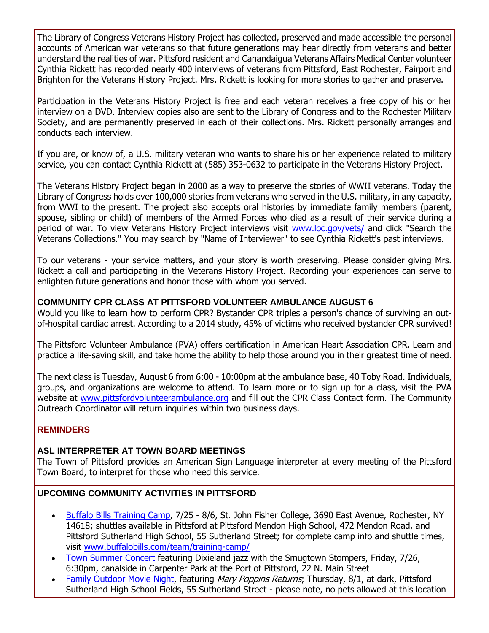The Library of Congress Veterans History Project has collected, preserved and made accessible the personal accounts of American war veterans so that future generations may hear directly from veterans and better understand the realities of war. Pittsford resident and Canandaigua Veterans Affairs Medical Center volunteer Cynthia Rickett has recorded nearly 400 interviews of veterans from Pittsford, East Rochester, Fairport and Brighton for the Veterans History Project. Mrs. Rickett is looking for more stories to gather and preserve.

Participation in the Veterans History Project is free and each veteran receives a free copy of his or her interview on a DVD. Interview copies also are sent to the Library of Congress and to the Rochester Military Society, and are permanently preserved in each of their collections. Mrs. Rickett personally arranges and conducts each interview.

If you are, or know of, a U.S. military veteran who wants to share his or her experience related to military service, you can contact Cynthia Rickett at (585) 353-0632 to participate in the Veterans History Project.

The Veterans History Project began in 2000 as a way to preserve the stories of WWII veterans. Today the Library of Congress holds over 100,000 stories from veterans who served in the U.S. military, in any capacity, from WWI to the present. The project also accepts oral histories by immediate family members (parent, spouse, sibling or child) of members of the Armed Forces who died as a result of their service during a period of war. To view Veterans History Project interviews visit [www.loc.gov/vets/](http://r20.rs6.net/tn.jsp?f=00123bHzXy63bmCkOiadQf51FJWDLTNgYb5W75OMj3Pjxoh_wkx6ZBLCIRIT3ytvzHkxIvbC4ND58Wg7abCZZMNa2zbJqH19IyJe2LOIyp7TcEianfok4Em94RUzZmEeOdmWGfvXln_tPu1Ut17Oh_6NVrExhfFWkQ1EYJWlg5WLvxXc1yR65YU699HUm0h3dT1JsxS1P_CQbEW7Amd3r2yx69HAhTY3jwzAJBNI5OdzbTpgyhxGLApJJYbgK-BYTmQU7QGePPAo4-USyKCvaHZCDZbwFhPU6f1&c=4THPiWQ9_-R3QmUlXthOiuqHM7pbOHq-SoGM3JouTuQmNYIZlCXfkw==&ch=WuQVqDiIUZEhJfQl-7M2_hdBjBxPYdVWx8_B46rcxuflAUEThjXVEQ==) and click "Search the Veterans Collections." You may search by "Name of Interviewer" to see Cynthia Rickett's past interviews.

To our veterans - your service matters, and your story is worth preserving. Please consider giving Mrs. Rickett a call and participating in the Veterans History Project. Recording your experiences can serve to enlighten future generations and honor those with whom you served.

# **COMMUNITY CPR CLASS AT PITTSFORD VOLUNTEER AMBULANCE AUGUST 6**

Would you like to learn how to perform CPR? Bystander CPR triples a person's chance of surviving an outof-hospital cardiac arrest. According to a 2014 study, 45% of victims who received bystander CPR survived!

The Pittsford Volunteer Ambulance (PVA) offers certification in American Heart Association CPR. Learn and practice a life-saving skill, and take home the ability to help those around you in their greatest time of need.

The next class is Tuesday, August 6 from 6:00 - 10:00pm at the ambulance base, 40 Toby Road. Individuals, groups, and organizations are welcome to attend. To learn more or to sign up for a class, visit the PVA website at [www.pittsfordvolunteerambulance.org](http://r20.rs6.net/tn.jsp?f=00123bHzXy63bmCkOiadQf51FJWDLTNgYb5W75OMj3Pjxoh_wkx6ZBLCDY3IMCvcDKbBrOrkEefpthv-hUw3wOAyo9fPRsK8wHgdy0VAUt5q9FeqsbgxMXWCyf9RtePWwwb2S1sUSw52KhSFZlpAKoKkFuLvDtyPFn3V-V_mNx3m9SkTmEBp-LEV9DLf49egltM_b4vOkoy0vKKnnqm5KvXWVtXSHIoPo_j_dDjZsBC0Zlvc40iQiSEUIMYxMrfWWr7p2yHuR8H1spXcDg3XZFXH4XorJe-806vXeis4rZRZ7geFyN_nHZLZmLK69rOGiX-&c=4THPiWQ9_-R3QmUlXthOiuqHM7pbOHq-SoGM3JouTuQmNYIZlCXfkw==&ch=WuQVqDiIUZEhJfQl-7M2_hdBjBxPYdVWx8_B46rcxuflAUEThjXVEQ==) and fill out the CPR Class Contact form. The Community Outreach Coordinator will return inquiries within two business days.

#### **REMINDERS**

#### **ASL INTERPRETER AT TOWN BOARD MEETINGS**

The Town of Pittsford provides an American Sign Language interpreter at every meeting of the Pittsford Town Board, to interpret for those who need this service.

#### **UPCOMING COMMUNITY ACTIVITIES IN PITTSFORD**

- [Buffalo Bills Training Camp,](http://www.buffalobills.com/team/training-camp/home.html?utm_source=eNews+07-24-19&utm_campaign=eNews+07-24-19&utm_medium=email) 7/25 8/6, St. John Fisher College, 3690 East Avenue, Rochester, NY 14618; shuttles available in Pittsford at Pittsford Mendon High School, 472 Mendon Road, and Pittsford Sutherland High School, 55 Sutherland Street; for complete camp info and shuttle times, visit [www.buffalobills.com/team/training-camp/](http://www.buffalobills.com/team/training-camp/?utm_source=eNews+07-24-19&utm_campaign=eNews+07-24-19&utm_medium=email)
- [Town Summer Concert](http://r20.rs6.net/tn.jsp?f=00123bHzXy63bmCkOiadQf51FJWDLTNgYb5W75OMj3Pjxoh_wkx6ZBLCMq3fecyfDzYaqpUPM_f7YD_v0Yv1ZwlMhMZqxbNieBX266zARSde1lPeKmvkkCNZVsLnXXisbn9HUec8fCi_ne79vwnT_0gN0LQzCWYqHOZAYe2YwITVNc5GYMbL2oCbMFQ4VoS7uqvWfxv3Hw0vyaxCLvG3VIZGggEtlPIBam9ZVUY-oQhcNiwc06LbGap1lOy1UzfSuYwo-iekAXoka5V0_5Js1mrRtIK53bKklOB7UY28F-m_OQh7uOXsOZ7OBEjebgb24mS&c=4THPiWQ9_-R3QmUlXthOiuqHM7pbOHq-SoGM3JouTuQmNYIZlCXfkw==&ch=WuQVqDiIUZEhJfQl-7M2_hdBjBxPYdVWx8_B46rcxuflAUEThjXVEQ==) featuring Dixieland jazz with the Smugtown Stompers, Friday, 7/26, 6:30pm, canalside in Carpenter Park at the Port of Pittsford, 22 N. Main Street
- [Family Outdoor Movie Night,](http://r20.rs6.net/tn.jsp?f=00123bHzXy63bmCkOiadQf51FJWDLTNgYb5W75OMj3Pjxoh_wkx6ZBLCFQRGmj9xOTtXa_QNCv55VSfFwdipTzmGn75xfCU-vRycQbQeqb9INr0-nBMdTqR5okWacwEXyoFELmZnegPTlq-kfKC75lT4ckmf5hmRKix2iA2Nw3tSA5VTakbyQnI3AfKIBTib6RT4jRrE80HAGpBR0EdAT2f8UECwhGn0B4yuA9rqnqPjeO58SzsLFvw5Y-yQ2thndH4A8rNE2H79tcZ_CY7E5h_kswDPD_sZ_owvRnjt-i3x5MkI3h1tfaFSUjpDKOlYVukiHiRCoA0YAM=&c=4THPiWQ9_-R3QmUlXthOiuqHM7pbOHq-SoGM3JouTuQmNYIZlCXfkw==&ch=WuQVqDiIUZEhJfQl-7M2_hdBjBxPYdVWx8_B46rcxuflAUEThjXVEQ==) featuring *Mary Poppins Returns*; Thursday, 8/1, at dark, Pittsford Sutherland High School Fields, 55 Sutherland Street - please note, no pets allowed at this location